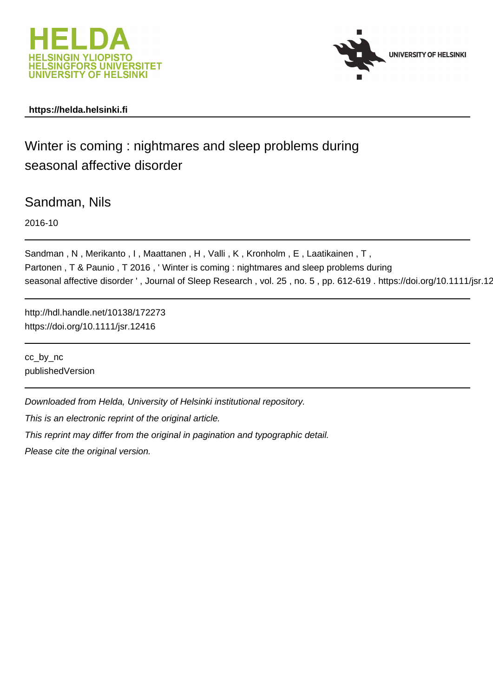



### **https://helda.helsinki.fi**

# Winter is coming : nightmares and sleep problems during seasonal affective disorder

## Sandman, Nils

2016-10

Sandman, N, Merikanto, I, Maattanen, H, Valli, K, Kronholm, E, Laatikainen, T, Partonen, T & Paunio, T 2016, 'Winter is coming : nightmares and sleep problems during seasonal affective disorder ', Journal of Sleep Research, vol. 25, no. 5, pp. 612-619. https://doi.org/10.1111/jsr.12

http://hdl.handle.net/10138/172273 https://doi.org/10.1111/jsr.12416

cc\_by\_nc publishedVersion

Downloaded from Helda, University of Helsinki institutional repository.

This is an electronic reprint of the original article.

This reprint may differ from the original in pagination and typographic detail.

Please cite the original version.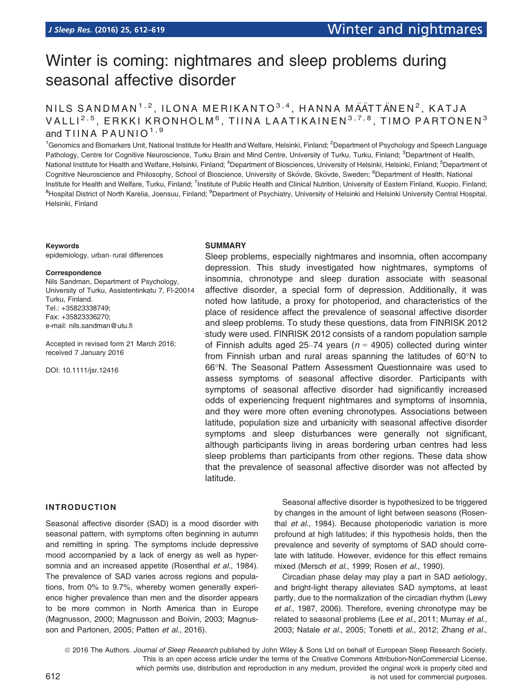## Winter is coming: nightmares and sleep problems during seasonal affective disorder

### NILS SANDMAN<sup>1,2</sup>, ILONA MERIKANTO<sup>3,4</sup>, HANNA MÄÄTTÄNEN<sup>2</sup>, KATJA VALLI<sup>2,5</sup>, ERKKI KRONHOLM<sup>6</sup>, TIINA LAATIKAINEN<sup>3,7,8</sup>, TIMO PARTONEN<sup>3</sup> and TIINA PAUNIO<sup>1,9</sup>

<sup>1</sup>Genomics and Biomarkers Unit, National Institute for Health and Welfare, Helsinki, Finland; <sup>2</sup>Department of Psychology and Speech Language Pathology, Centre for Cognitive Neuroscience, Turku Brain and Mind Centre, University of Turku, Turku, Finland; <sup>3</sup>Department of Health, National Institute for Health and Welfare, Helsinki, Finland; <sup>4</sup>Department of Biosciences, University of Helsinki, Helsinki, Finland; <sup>5</sup>Department of Cognitive Neuroscience and Philosophy, School of Bioscience, University of Skövde, Skövde, Sweden; <sup>6</sup>Department of Health, National Institute for Health and Welfare, Turku, Finland; <sup>7</sup>Institute of Public Health and Clinical Nutrition, University of Eastern Finland, Kuopio, Finland; <sup>8</sup>Hospital District of North Karelia, Joensuu, Finland; <sup>9</sup>Department of Psychiatry, University of Helsinki and Helsinki University Central Hospital, Helsinki, Finland

#### Keywords

epidemiology, urban–rural differences

#### Correspondence

Nils Sandman, Department of Psychology, University of Turku, Assistentinkatu 7, FI-20014 Turku, Finland. Tel.: +35823338749; Fax: +35823336270; e-mail: nils.sandman@utu.fi

Accepted in revised form 21 March 2016; received 7 January 2016

DOI: 10.1111/jsr.12416

#### **SUMMARY**

Sleep problems, especially nightmares and insomnia, often accompany depression. This study investigated how nightmares, symptoms of insomnia, chronotype and sleep duration associate with seasonal affective disorder, a special form of depression. Additionally, it was noted how latitude, a proxy for photoperiod, and characteristics of the place of residence affect the prevalence of seasonal affective disorder and sleep problems. To study these questions, data from FINRISK 2012 study were used. FINRISK 2012 consists of a random population sample of Finnish adults aged 25–74 years ( $n = 4905$ ) collected during winter from Finnish urban and rural areas spanning the latitudes of 60°N to 66°N. The Seasonal Pattern Assessment Questionnaire was used to assess symptoms of seasonal affective disorder. Participants with symptoms of seasonal affective disorder had significantly increased odds of experiencing frequent nightmares and symptoms of insomnia, and they were more often evening chronotypes. Associations between latitude, population size and urbanicity with seasonal affective disorder symptoms and sleep disturbances were generally not significant, although participants living in areas bordering urban centres had less sleep problems than participants from other regions. These data show that the prevalence of seasonal affective disorder was not affected by latitude.

#### INTRODUCTION

Seasonal affective disorder (SAD) is a mood disorder with seasonal pattern, with symptoms often beginning in autumn and remitting in spring. The symptoms include depressive mood accompanied by a lack of energy as well as hypersomnia and an increased appetite (Rosenthal et al., 1984). The prevalence of SAD varies across regions and populations, from 0% to 9.7%, whereby women generally experience higher prevalence than men and the disorder appears to be more common in North America than in Europe (Magnusson, 2000; Magnusson and Boivin, 2003; Magnusson and Partonen, 2005; Patten et al., 2016).

Seasonal affective disorder is hypothesized to be triggered by changes in the amount of light between seasons (Rosenthal et al., 1984). Because photoperiodic variation is more profound at high latitudes; if this hypothesis holds, then the prevalence and severity of symptoms of SAD should correlate with latitude. However, evidence for this effect remains mixed (Mersch et al., 1999; Rosen et al., 1990).

Circadian phase delay may play a part in SAD aetiology, and bright-light therapy alleviates SAD symptoms, at least partly, due to the normalization of the circadian rhythm (Lewy et al., 1987, 2006). Therefore, evening chronotype may be related to seasonal problems (Lee et al., 2011; Murray et al., 2003; Natale et al., 2005; Tonetti et al., 2012; Zhang et al.,

© 2016 The Authors. Journal of Sleep Research published by John Wiley & Sons Ltd on behalf of European Sleep Research Society. This is an open access article under the terms of the [Creative Commons Attribution-NonCommercial](http://creativecommons.org/licenses/by-nc/4.0/) License, which permits use, distribution and reproduction in any medium, provided the original work is properly cited and 612 **612 is not used for commercial purposes.**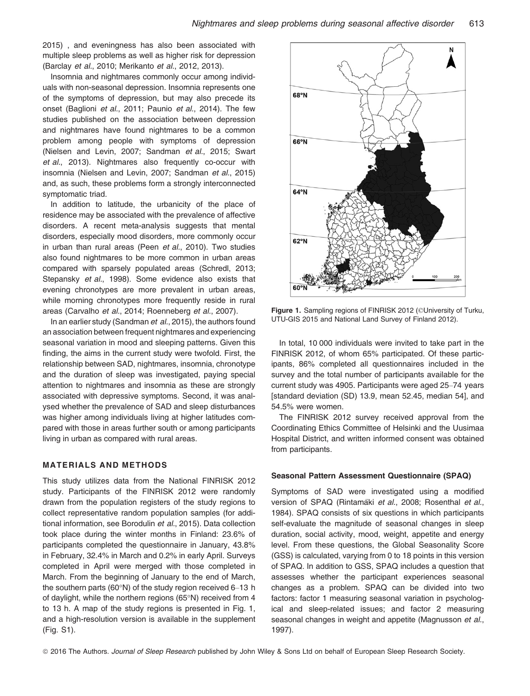2015) , and eveningness has also been associated with multiple sleep problems as well as higher risk for depression (Barclay et al., 2010; Merikanto et al., 2012, 2013).

Insomnia and nightmares commonly occur among individuals with non-seasonal depression. Insomnia represents one of the symptoms of depression, but may also precede its onset (Baglioni et al., 2011; Paunio et al., 2014). The few studies published on the association between depression and nightmares have found nightmares to be a common problem among people with symptoms of depression (Nielsen and Levin, 2007; Sandman et al., 2015; Swart et al., 2013). Nightmares also frequently co-occur with insomnia (Nielsen and Levin, 2007; Sandman et al., 2015) and, as such, these problems form a strongly interconnected symptomatic triad.

In addition to latitude, the urbanicity of the place of residence may be associated with the prevalence of affective disorders. A recent meta-analysis suggests that mental disorders, especially mood disorders, more commonly occur in urban than rural areas (Peen et al., 2010). Two studies also found nightmares to be more common in urban areas compared with sparsely populated areas (Schredl, 2013; Stepansky et al., 1998). Some evidence also exists that evening chronotypes are more prevalent in urban areas, while morning chronotypes more frequently reside in rural areas (Carvalho et al., 2014; Roenneberg et al., 2007).

In an earlier study (Sandman et al., 2015), the authors found an association between frequent nightmares and experiencing seasonal variation in mood and sleeping patterns. Given this finding, the aims in the current study were twofold. First, the relationship between SAD, nightmares, insomnia, chronotype and the duration of sleep was investigated, paying special attention to nightmares and insomnia as these are strongly associated with depressive symptoms. Second, it was analysed whether the prevalence of SAD and sleep disturbances was higher among individuals living at higher latitudes compared with those in areas further south or among participants living in urban as compared with rural areas.

#### MATERIALS AND METHODS

This study utilizes data from the National FINRISK 2012 study. Participants of the FINRISK 2012 were randomly drawn from the population registers of the study regions to collect representative random population samples (for additional information, see Borodulin et al., 2015). Data collection took place during the winter months in Finland: 23.6% of participants completed the questionnaire in January, 43.8% in February, 32.4% in March and 0.2% in early April. Surveys completed in April were merged with those completed in March. From the beginning of January to the end of March, the southern parts (60°N) of the study region received 6–13 h of daylight, while the northern regions (65°N) received from 4 to 13 h. A map of the study regions is presented in Fig. 1, and a high-resolution version is available in the supplement (Fig. S1).



Figure 1. Sampling regions of FINRISK 2012 (©University of Turku, UTU-GIS 2015 and National Land Survey of Finland 2012).

In total, 10 000 individuals were invited to take part in the FINRISK 2012, of whom 65% participated. Of these participants, 86% completed all questionnaires included in the survey and the total number of participants available for the current study was 4905. Participants were aged 25–74 years [standard deviation (SD) 13.9, mean 52.45, median 54], and 54.5% were women.

The FINRISK 2012 survey received approval from the Coordinating Ethics Committee of Helsinki and the Uusimaa Hospital District, and written informed consent was obtained from participants.

#### Seasonal Pattern Assessment Questionnaire (SPAQ)

Symptoms of SAD were investigated using a modified version of SPAQ (Rintamaki et al., 2008; Rosenthal et al., 1984). SPAQ consists of six questions in which participants self-evaluate the magnitude of seasonal changes in sleep duration, social activity, mood, weight, appetite and energy level. From these questions, the Global Seasonality Score (GSS) is calculated, varying from 0 to 18 points in this version of SPAQ. In addition to GSS, SPAQ includes a question that assesses whether the participant experiences seasonal changes as a problem. SPAQ can be divided into two factors: factor 1 measuring seasonal variation in psychological and sleep-related issues; and factor 2 measuring seasonal changes in weight and appetite (Magnusson et al., 1997).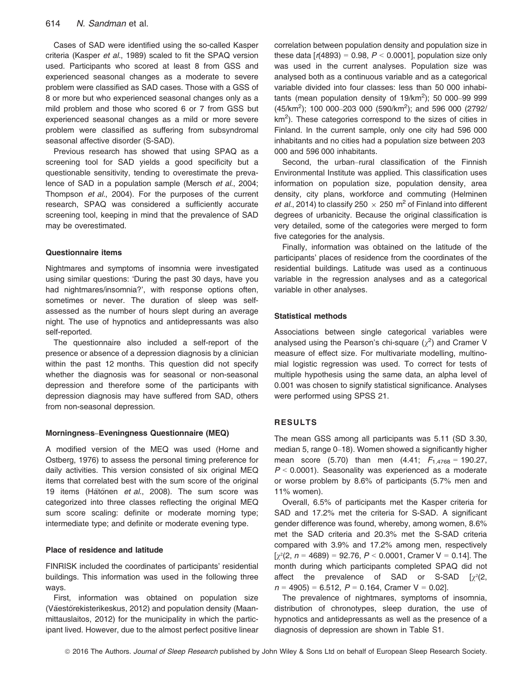Cases of SAD were identified using the so-called Kasper criteria (Kasper et al., 1989) scaled to fit the SPAQ version used. Participants who scored at least 8 from GSS and experienced seasonal changes as a moderate to severe problem were classified as SAD cases. Those with a GSS of 8 or more but who experienced seasonal changes only as a mild problem and those who scored 6 or 7 from GSS but experienced seasonal changes as a mild or more severe problem were classified as suffering from subsyndromal seasonal affective disorder (S-SAD).

Previous research has showed that using SPAQ as a screening tool for SAD yields a good specificity but a questionable sensitivity, tending to overestimate the prevalence of SAD in a population sample (Mersch et al., 2004; Thompson et al., 2004). For the purposes of the current research, SPAQ was considered a sufficiently accurate screening tool, keeping in mind that the prevalence of SAD may be overestimated.

#### Questionnaire items

Nightmares and symptoms of insomnia were investigated using similar questions: 'During the past 30 days, have you had nightmares/insomnia?', with response options often, sometimes or never. The duration of sleep was selfassessed as the number of hours slept during an average night. The use of hypnotics and antidepressants was also self-reported.

The questionnaire also included a self-report of the presence or absence of a depression diagnosis by a clinician within the past 12 months. This question did not specify whether the diagnosis was for seasonal or non-seasonal depression and therefore some of the participants with depression diagnosis may have suffered from SAD, others from non-seasonal depression.

#### Morningness–Eveningness Questionnaire (MEQ)

A modified version of the MEQ was used (Horne and Ostberg, 1976) to assess the personal timing preference for daily activities. This version consisted of six original MEQ items that correlated best with the sum score of the original 19 items (Hätönen et al., 2008). The sum score was categorized into three classes reflecting the original MEQ sum score scaling: definite or moderate morning type; intermediate type; and definite or moderate evening type.

#### Place of residence and latitude

FINRISK included the coordinates of participants' residential buildings. This information was used in the following three ways.

First, information was obtained on population size (Väestörekisterikeskus, 2012) and population density (Maanmittauslaitos, 2012) for the municipality in which the participant lived. However, due to the almost perfect positive linear correlation between population density and population size in these data  $[r(4893) = 0.98, P < 0.0001]$ , population size only was used in the current analyses. Population size was analysed both as a continuous variable and as a categorical variable divided into four classes: less than 50 000 inhabitants (mean population density of  $19/km^2$ ); 50 000-99 999 (45/km<sup>2</sup>); 100 000-203 000 (590/km<sup>2</sup>); and 596 000 (2792/  $km<sup>2</sup>$ ). These categories correspond to the sizes of cities in Finland. In the current sample, only one city had 596 000 inhabitants and no cities had a population size between 203 000 and 596 000 inhabitants.

Second, the urban–rural classification of the Finnish Environmental Institute was applied. This classification uses information on population size, population density, area density, city plans, workforce and commuting (Helminen et al., 2014) to classify 250  $\times$  250 m<sup>2</sup> of Finland into different degrees of urbanicity. Because the original classification is very detailed, some of the categories were merged to form five categories for the analysis.

Finally, information was obtained on the latitude of the participants' places of residence from the coordinates of the residential buildings. Latitude was used as a continuous variable in the regression analyses and as a categorical variable in other analyses.

#### Statistical methods

Associations between single categorical variables were analysed using the Pearson's chi-square  $(\chi^2)$  and Cramer V measure of effect size. For multivariate modelling, multinomial logistic regression was used. To correct for tests of multiple hypothesis using the same data, an alpha level of 0.001 was chosen to signify statistical significance. Analyses were performed using SPSS 21.

#### RESULTS

The mean GSS among all participants was 5.11 (SD 3.30, median 5, range 0–18). Women showed a significantly higher mean score (5.70) than men (4.41;  $F_{1.4768} = 190.27$ ,  $P < 0.0001$ ). Seasonality was experienced as a moderate or worse problem by 8.6% of participants (5.7% men and 11% women).

Overall, 6.5% of participants met the Kasper criteria for SAD and 17.2% met the criteria for S-SAD. A significant gender difference was found, whereby, among women, 8.6% met the SAD criteria and 20.3% met the S-SAD criteria compared with 3.9% and 17.2% among men, respectively  $[\chi^2(2, n = 4689) = 92.76, P < 0.0001, Cramer V = 0.14]$ . The month during which participants completed SPAQ did not affect the prevalence of SAD or S-SAD  $[\gamma^2/2, \gamma]$  $n = 4905$ ) = 6.512,  $P = 0.164$ , Cramer V = 0.02].

The prevalence of nightmares, symptoms of insomnia, distribution of chronotypes, sleep duration, the use of hypnotics and antidepressants as well as the presence of a diagnosis of depression are shown in Table S1.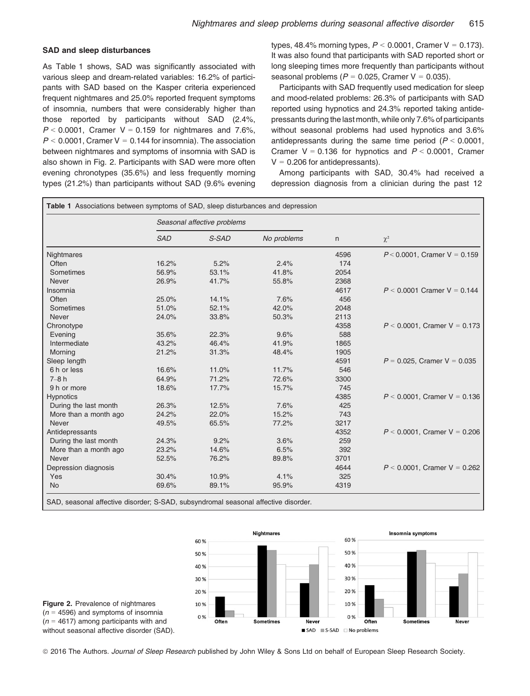#### SAD and sleep disturbances

As Table 1 shows, SAD was significantly associated with various sleep and dream-related variables: 16.2% of participants with SAD based on the Kasper criteria experienced frequent nightmares and 25.0% reported frequent symptoms of insomnia, numbers that were considerably higher than those reported by participants without SAD (2.4%,  $P < 0.0001$ , Cramer V = 0.159 for nightmares and 7.6%,  $P < 0.0001$ , Cramer V = 0.144 for insomnia). The association between nightmares and symptoms of insomnia with SAD is also shown in Fig. 2. Participants with SAD were more often evening chronotypes (35.6%) and less frequently morning types (21.2%) than participants without SAD (9.6% evening

types, 48.4% morning types,  $P < 0.0001$ , Cramer V = 0.173). It was also found that participants with SAD reported short or long sleeping times more frequently than participants without seasonal problems ( $P = 0.025$ , Cramer V = 0.035).

Participants with SAD frequently used medication for sleep and mood-related problems: 26.3% of participants with SAD reported using hypnotics and 24.3% reported taking antidepressants during the last month, while only 7.6% of participants without seasonal problems had used hypnotics and 3.6% antidepressants during the same time period ( $P < 0.0001$ , Cramer  $V = 0.136$  for hypnotics and  $P < 0.0001$ , Cramer  $V = 0.206$  for antidepressants).

Among participants with SAD, 30.4% had received a depression diagnosis from a clinician during the past 12

|                       | Seasonal affective problems |       |             |      |                                 |
|-----------------------|-----------------------------|-------|-------------|------|---------------------------------|
|                       | <b>SAD</b>                  | S-SAD | No problems | n    | $\chi^2$                        |
| Nightmares            |                             |       |             | 4596 | $P < 0.0001$ , Cramer V = 0.159 |
| Often                 | 16.2%                       | 5.2%  | 2.4%        | 174  |                                 |
| Sometimes             | 56.9%                       | 53.1% | 41.8%       | 2054 |                                 |
| Never                 | 26.9%                       | 41.7% | 55.8%       | 2368 |                                 |
| Insomnia              |                             |       |             | 4617 | $P < 0.0001$ Cramer V = 0.144   |
| Often                 | 25.0%                       | 14.1% | 7.6%        | 456  |                                 |
| Sometimes             | 51.0%                       | 52.1% | 42.0%       | 2048 |                                 |
| <b>Never</b>          | 24.0%                       | 33.8% | 50.3%       | 2113 |                                 |
| Chronotype            |                             |       |             | 4358 | $P < 0.0001$ , Cramer V = 0.173 |
| Evening               | 35.6%                       | 22.3% | 9.6%        | 588  |                                 |
| Intermediate          | 43.2%                       | 46.4% | 41.9%       | 1865 |                                 |
| Morning               | 21.2%                       | 31.3% | 48.4%       | 1905 |                                 |
| Sleep length          |                             |       |             | 4591 | $P = 0.025$ , Cramer V = 0.035  |
| 6 h or less           | 16.6%                       | 11.0% | 11.7%       | 546  |                                 |
| $7-8h$                | 64.9%                       | 71.2% | 72.6%       | 3300 |                                 |
| 9 h or more           | 18.6%                       | 17.7% | 15.7%       | 745  |                                 |
| <b>Hypnotics</b>      |                             |       |             | 4385 | $P < 0.0001$ , Cramer V = 0.136 |
| During the last month | 26.3%                       | 12.5% | 7.6%        | 425  |                                 |
| More than a month ago | 24.2%                       | 22.0% | 15.2%       | 743  |                                 |
| Never                 | 49.5%                       | 65.5% | 77.2%       | 3217 |                                 |
| Antidepressants       |                             |       |             | 4352 | $P < 0.0001$ , Cramer V = 0.206 |
| During the last month | 24.3%                       | 9.2%  | 3.6%        | 259  |                                 |
| More than a month ago | 23.2%                       | 14.6% | 6.5%        | 392  |                                 |
| <b>Never</b>          | 52.5%                       | 76.2% | 89.8%       | 3701 |                                 |
| Depression diagnosis  |                             |       |             | 4644 | $P < 0.0001$ , Cramer V = 0.262 |
| Yes                   | 30.4%                       | 10.9% | 4.1%        | 325  |                                 |
| <b>No</b>             | 69.6%                       | 89.1% | 95.9%       | 4319 |                                 |



Figure 2. Prevalence of nightmares  $(n = 4596)$  and symptoms of insomnia  $(n = 4617)$  among participants with and without seasonal affective disorder (SAD).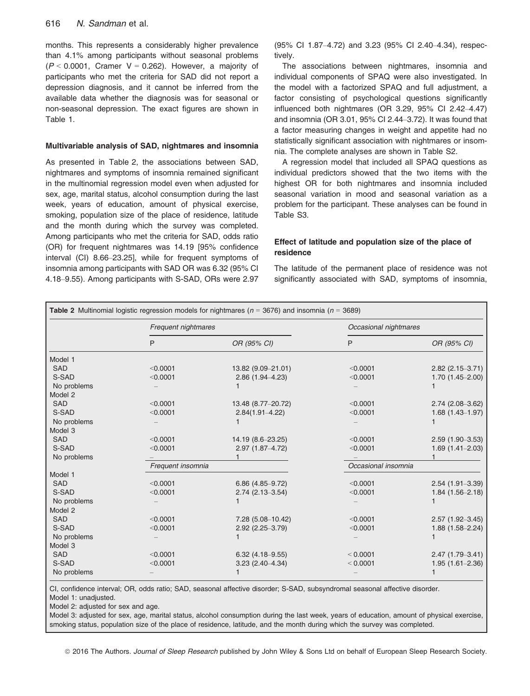months. This represents a considerably higher prevalence than 4.1% among participants without seasonal problems  $(P < 0.0001$ , Cramer V = 0.262). However, a majority of participants who met the criteria for SAD did not report a depression diagnosis, and it cannot be inferred from the available data whether the diagnosis was for seasonal or non-seasonal depression. The exact figures are shown in Table 1.

#### Multivariable analysis of SAD, nightmares and insomnia

As presented in Table 2, the associations between SAD, nightmares and symptoms of insomnia remained significant in the multinomial regression model even when adjusted for sex, age, marital status, alcohol consumption during the last week, years of education, amount of physical exercise, smoking, population size of the place of residence, latitude and the month during which the survey was completed. Among participants who met the criteria for SAD, odds ratio (OR) for frequent nightmares was 14.19 [95% confidence interval (CI) 8.66–23.25], while for frequent symptoms of insomnia among participants with SAD OR was 6.32 (95% CI 4.18–9.55). Among participants with S-SAD, ORs were 2.97 (95% CI 1.87–4.72) and 3.23 (95% CI 2.40–4.34), respectively.

The associations between nightmares, insomnia and individual components of SPAQ were also investigated. In the model with a factorized SPAQ and full adjustment, a factor consisting of psychological questions significantly influenced both nightmares (OR 3.29, 95% CI 2.42–4.47) and insomnia (OR 3.01, 95% CI 2.44–3.72). It was found that a factor measuring changes in weight and appetite had no statistically significant association with nightmares or insomnia. The complete analyses are shown in Table S2.

A regression model that included all SPAQ questions as individual predictors showed that the two items with the highest OR for both nightmares and insomnia included seasonal variation in mood and seasonal variation as a problem for the participant. These analyses can be found in Table S3.

#### Effect of latitude and population size of the place of residence

The latitude of the permanent place of residence was not significantly associated with SAD, symptoms of insomnia,

| <b>Table 2</b> Multinomial logistic regression models for nightmares ( $n = 3676$ ) and insomnia ( $n = 3689$ ) |                            |                     |                               |                     |  |  |  |
|-----------------------------------------------------------------------------------------------------------------|----------------------------|---------------------|-------------------------------|---------------------|--|--|--|
|                                                                                                                 | <b>Frequent nightmares</b> |                     | Occasional nightmares         |                     |  |  |  |
|                                                                                                                 | P                          | OR (95% CI)         | P                             | OR (95% CI)         |  |  |  |
| Model 1                                                                                                         |                            |                     |                               |                     |  |  |  |
| <b>SAD</b>                                                                                                      | < 0.0001                   | 13.82 (9.09-21.01)  | < 0.0001                      | $2.82(2.15-3.71)$   |  |  |  |
| S-SAD                                                                                                           | < 0.0001                   | $2.86(1.94 - 4.23)$ | < 0.0001                      | $1.70(1.45 - 2.00)$ |  |  |  |
| No problems<br>Model 2                                                                                          |                            |                     |                               |                     |  |  |  |
| <b>SAD</b>                                                                                                      | < 0.0001                   | 13.48 (8.77-20.72)  | < 0.0001                      | $2.74(2.08-3.62)$   |  |  |  |
| S-SAD                                                                                                           | < 0.0001                   | $2.84(1.91 - 4.22)$ | < 0.0001                      | $1.68(1.43 - 1.97)$ |  |  |  |
| No problems<br>Model 3                                                                                          |                            |                     |                               |                     |  |  |  |
| <b>SAD</b>                                                                                                      | < 0.0001                   | 14.19 (8.6-23.25)   | < 0.0001                      | $2.59(1.90-3.53)$   |  |  |  |
| S-SAD                                                                                                           | < 0.0001                   | $2.97(1.87 - 4.72)$ | < 0.0001                      | $1.69(1.41 - 2.03)$ |  |  |  |
| No problems                                                                                                     |                            |                     |                               |                     |  |  |  |
|                                                                                                                 | Frequent insomnia          |                     | Occasional insomnia           |                     |  |  |  |
| Model 1                                                                                                         |                            |                     |                               |                     |  |  |  |
| <b>SAD</b>                                                                                                      | < 0.0001                   | $6.86(4.85 - 9.72)$ | < 0.0001                      | $2.54(1.91 - 3.39)$ |  |  |  |
| S-SAD                                                                                                           | < 0.0001                   | $2.74(2.13-3.54)$   | < 0.0001<br>$1.84(1.56-2.18)$ |                     |  |  |  |
| No problems                                                                                                     |                            |                     |                               |                     |  |  |  |
| Model 2                                                                                                         |                            |                     |                               |                     |  |  |  |
| <b>SAD</b>                                                                                                      | < 0.0001                   | 7.28 (5.08-10.42)   | < 0.0001                      | $2.57(1.92 - 3.45)$ |  |  |  |
| S-SAD                                                                                                           | < 0.0001                   | 2.92 (2.25-3.79)    | < 0.0001                      | $1.88(1.58 - 2.24)$ |  |  |  |
| No problems                                                                                                     |                            |                     |                               |                     |  |  |  |
| Model 3                                                                                                         |                            |                     |                               |                     |  |  |  |
| <b>SAD</b>                                                                                                      | < 0.0001                   | $6.32(4.18-9.55)$   | < 0.0001                      | $2.47(1.79-3.41)$   |  |  |  |
| S-SAD                                                                                                           | < 0.0001                   | $3.23(2.40-4.34)$   | < 0.0001                      | $1.95(1.61 - 2.36)$ |  |  |  |
| No problems                                                                                                     |                            |                     |                               |                     |  |  |  |

CI, confidence interval; OR, odds ratio; SAD, seasonal affective disorder; S-SAD, subsyndromal seasonal affective disorder.

Model 1: unadjusted.

Model 2: adjusted for sex and age.

Model 3: adjusted for sex, age, marital status, alcohol consumption during the last week, years of education, amount of physical exercise, smoking status, population size of the place of residence, latitude, and the month during which the survey was completed.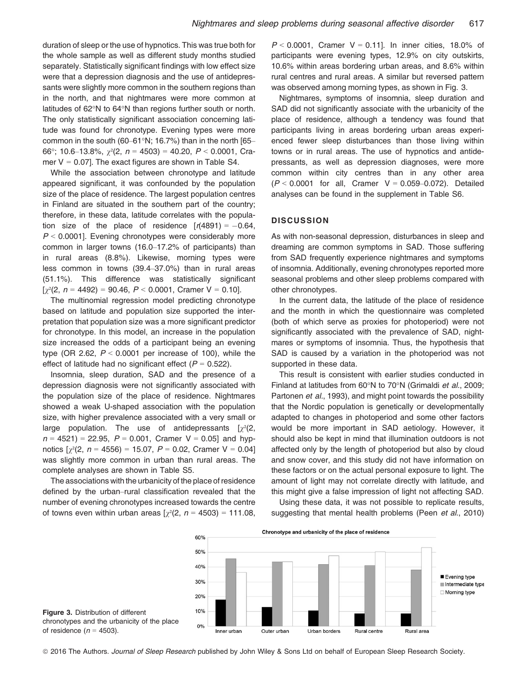duration of sleep or the use of hypnotics. This was true both for the whole sample as well as different study months studied separately. Statistically significant findings with low effect size were that a depression diagnosis and the use of antidepressants were slightly more common in the southern regions than in the north, and that nightmares were more common at latitudes of 62°N to 64°N than regions further south or north. The only statistically significant association concerning latitude was found for chronotype. Evening types were more common in the south (60–61°N; 16.7%) than in the north [65– 66°; 10.6–13.8%,  $\chi^2$ (2, n = 4503) = 40.20, P < 0.0001, Cramer  $V = 0.07$ ]. The exact figures are shown in Table S4.

While the association between chronotype and latitude appeared significant, it was confounded by the population size of the place of residence. The largest population centres in Finland are situated in the southern part of the country; therefore, in these data, latitude correlates with the population size of the place of residence  $[r(4891) = -0.64,$  $P < 0.0001$ ]. Evening chronotypes were considerably more common in larger towns (16.0–17.2% of participants) than in rural areas (8.8%). Likewise, morning types were less common in towns (39.4–37.0%) than in rural areas (51.1%). This difference was statistically significant  $[\gamma^2(2, n = 4492) = 90.46, P < 0.0001,$  Cramer V = 0.10].

The multinomial regression model predicting chronotype based on latitude and population size supported the interpretation that population size was a more significant predictor for chronotype. In this model, an increase in the population size increased the odds of a participant being an evening type (OR 2.62,  $P < 0.0001$  per increase of 100), while the effect of latitude had no significant effect ( $P = 0.522$ ).

Insomnia, sleep duration, SAD and the presence of a depression diagnosis were not significantly associated with the population size of the place of residence. Nightmares showed a weak U-shaped association with the population size, with higher prevalence associated with a very small or large population. The use of antidepressants  $[\chi^2(2,$  $n = 4521$ ) = 22.95,  $P = 0.001$ , Cramer V = 0.05] and hypnotics  $[\chi^2(2, n = 4556) = 15.07, P = 0.02, Cramer V = 0.04]$ was slightly more common in urban than rural areas. The complete analyses are shown in Table S5.

The associations with the urbanicity of the place of residence defined by the urban–rural classification revealed that the number of evening chronotypes increased towards the centre of towns even within urban areas  $[\chi^2(2, n = 4503) = 111.08]$ ,  $P < 0.0001$ , Cramer V = 0.11]. In inner cities, 18.0% of participants were evening types, 12.9% on city outskirts, 10.6% within areas bordering urban areas, and 8.6% within rural centres and rural areas. A similar but reversed pattern was observed among morning types, as shown in Fig. 3.

Nightmares, symptoms of insomnia, sleep duration and SAD did not significantly associate with the urbanicity of the place of residence, although a tendency was found that participants living in areas bordering urban areas experienced fewer sleep disturbances than those living within towns or in rural areas. The use of hypnotics and antidepressants, as well as depression diagnoses, were more common within city centres than in any other area  $(P < 0.0001$  for all, Cramer  $V = 0.059 - 0.072$ ). Detailed analyses can be found in the supplement in Table S6.

#### **DISCUSSION**

As with non-seasonal depression, disturbances in sleep and dreaming are common symptoms in SAD. Those suffering from SAD frequently experience nightmares and symptoms of insomnia. Additionally, evening chronotypes reported more seasonal problems and other sleep problems compared with other chronotypes.

In the current data, the latitude of the place of residence and the month in which the questionnaire was completed (both of which serve as proxies for photoperiod) were not significantly associated with the prevalence of SAD, nightmares or symptoms of insomnia. Thus, the hypothesis that SAD is caused by a variation in the photoperiod was not supported in these data.

This result is consistent with earlier studies conducted in Finland at latitudes from 60°N to 70°N (Grimaldi et al., 2009; Partonen et al., 1993), and might point towards the possibility that the Nordic population is genetically or developmentally adapted to changes in photoperiod and some other factors would be more important in SAD aetiology. However, it should also be kept in mind that illumination outdoors is not affected only by the length of photoperiod but also by cloud and snow cover, and this study did not have information on these factors or on the actual personal exposure to light. The amount of light may not correlate directly with latitude, and this might give a false impression of light not affecting SAD.

Using these data, it was not possible to replicate results, suggesting that mental health problems (Peen et al., 2010)

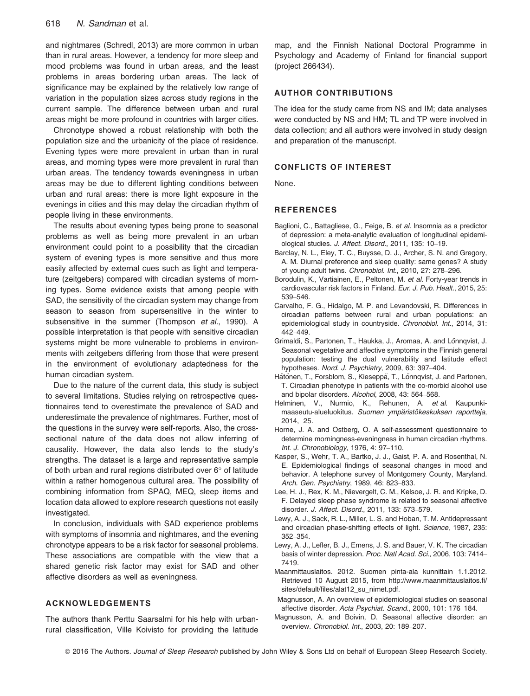and nightmares (Schredl, 2013) are more common in urban than in rural areas. However, a tendency for more sleep and mood problems was found in urban areas, and the least problems in areas bordering urban areas. The lack of significance may be explained by the relatively low range of variation in the population sizes across study regions in the current sample. The difference between urban and rural areas might be more profound in countries with larger cities.

Chronotype showed a robust relationship with both the population size and the urbanicity of the place of residence. Evening types were more prevalent in urban than in rural areas, and morning types were more prevalent in rural than urban areas. The tendency towards eveningness in urban areas may be due to different lighting conditions between urban and rural areas: there is more light exposure in the evenings in cities and this may delay the circadian rhythm of people living in these environments.

The results about evening types being prone to seasonal problems as well as being more prevalent in an urban environment could point to a possibility that the circadian system of evening types is more sensitive and thus more easily affected by external cues such as light and temperature (zeitgebers) compared with circadian systems of morning types. Some evidence exists that among people with SAD, the sensitivity of the circadian system may change from season to season from supersensitive in the winter to subsensitive in the summer (Thompson et al., 1990). A possible interpretation is that people with sensitive circadian systems might be more vulnerable to problems in environments with zeitgebers differing from those that were present in the environment of evolutionary adaptedness for the human circadian system.

Due to the nature of the current data, this study is subject to several limitations. Studies relying on retrospective questionnaires tend to overestimate the prevalence of SAD and underestimate the prevalence of nightmares. Further, most of the questions in the survey were self-reports. Also, the crosssectional nature of the data does not allow inferring of causality. However, the data also lends to the study's strengths. The dataset is a large and representative sample of both urban and rural regions distributed over 6° of latitude within a rather homogenous cultural area. The possibility of combining information from SPAQ, MEQ, sleep items and location data allowed to explore research questions not easily investigated.

In conclusion, individuals with SAD experience problems with symptoms of insomnia and nightmares, and the evening chronotype appears to be a risk factor for seasonal problems. These associations are compatible with the view that a shared genetic risk factor may exist for SAD and other affective disorders as well as eveningness.

#### ACKNOWLEDGEMENTS

The authors thank Perttu Saarsalmi for his help with urbanrural classification, Ville Koivisto for providing the latitude map, and the Finnish National Doctoral Programme in Psychology and Academy of Finland for financial support (project 266434).

#### AUTHOR CONTRIBUTIONS

The idea for the study came from NS and IM; data analyses were conducted by NS and HM; TL and TP were involved in data collection; and all authors were involved in study design and preparation of the manuscript.

#### CONFLICTS OF INTEREST

None.

#### **REFERENCES**

- Baglioni, C., Battagliese, G., Feige, B. et al. Insomnia as a predictor of depression: a meta-analytic evaluation of longitudinal epidemiological studies. J. Affect. Disord., 2011, 135: 10–19.
- Barclay, N. L., Eley, T. C., Buysse, D. J., Archer, S. N. and Gregory, A. M. Diurnal preference and sleep quality: same genes? A study of young adult twins. Chronobiol. Int., 2010, 27: 278–296.
- Borodulin, K., Vartiainen, E., Peltonen, M. et al. Forty-year trends in cardiovascular risk factors in Finland. Eur. J. Pub. Healt., 2015, 25: 539–546.
- Carvalho, F. G., Hidalgo, M. P. and Levandovski, R. Differences in circadian patterns between rural and urban populations: an epidemiological study in countryside. Chronobiol. Int., 2014, 31: 442–449.
- Grimaldi, S., Partonen, T., Haukka, J., Aromaa, A. and Lönnqvist, J. Seasonal vegetative and affective symptoms in the Finnish general population: testing the dual vulnerability and latitude effect hypotheses. Nord. J. Psychiatry, 2009, 63: 397–404.
- Hätönen, T., Forsblom, S., Kieseppä, T., Lönnqvist, J. and Partonen, T. Circadian phenotype in patients with the co-morbid alcohol use and bipolar disorders. Alcohol, 2008, 43: 564–568.
- Helminen, V., Nurmio, K., Rehunen, A. et al. Kaupunkimaaseutu-alueluokitus. Suomen ympäristökeskuksen raportteja, 2014, 25.
- Horne, J. A. and Ostberg, O. A self-assessment questionnaire to determine morningness-eveningness in human circadian rhythms. Int. J. Chronobiology, 1976, 4: 97–110.
- Kasper, S., Wehr, T. A., Bartko, J. J., Gaist, P. A. and Rosenthal, N. E. Epidemiological findings of seasonal changes in mood and behavior. A telephone survey of Montgomery County, Maryland. Arch. Gen. Psychiatry, 1989, 46: 823–833.
- Lee, H. J., Rex, K. M., Nievergelt, C. M., Kelsoe, J. R. and Kripke, D. F. Delayed sleep phase syndrome is related to seasonal affective disorder. J. Affect. Disord., 2011, 133: 573–579.
- Lewy, A. J., Sack, R. L., Miller, L. S. and Hoban, T. M. Antidepressant and circadian phase-shifting effects of light. Science, 1987, 235: 352–354.
- Lewy, A. J., Lefler, B. J., Emens, J. S. and Bauer, V. K. The circadian basis of winter depression. Proc. Natl Acad. Sci., 2006, 103: 7414– 7419.
- Maanmittauslaitos. 2012. Suomen pinta-ala kunnittain 1.1.2012. Retrieved 10 August 2015, from [http://www.maanmittauslaitos.](http://www.maanmittauslaitos.fi/sites/default/files/alat12_su_nimet.pdf)fi/ sites/default/fi[les/alat12\\_su\\_nimet.pdf](http://www.maanmittauslaitos.fi/sites/default/files/alat12_su_nimet.pdf).
- Magnusson, A. An overview of epidemiological studies on seasonal affective disorder. Acta Psychiat. Scand., 2000, 101: 176–184.
- Magnusson, A. and Boivin, D. Seasonal affective disorder: an overview. Chronobiol. Int., 2003, 20: 189–207.